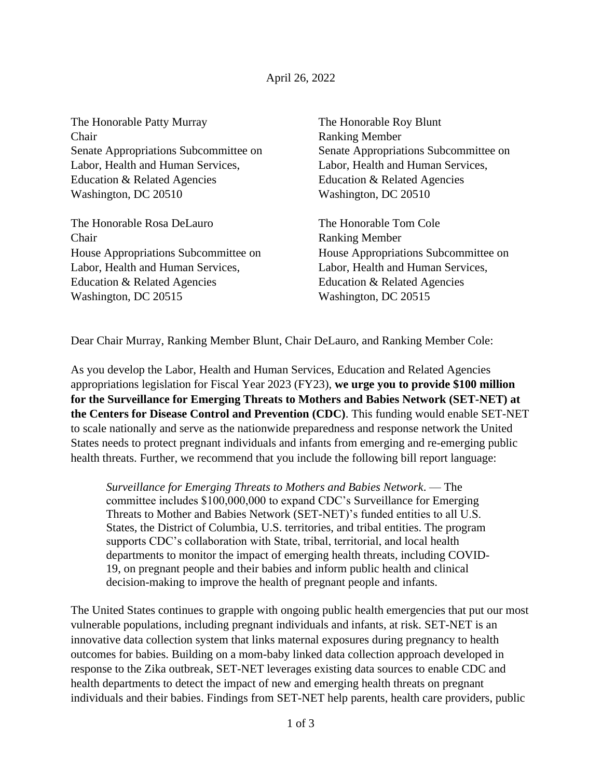## April 26, 2022

The Honorable Patty Murray The Honorable Roy Blunt Chair Ranking Member Senate Appropriations Subcommittee on Senate Appropriations Subcommittee on Labor, Health and Human Services, Labor, Health and Human Services, Education & Related Agencies Education & Related Agencies Washington, DC 20510 Washington, DC 20510

The Honorable Rosa DeLauro The Honorable Tom Cole Chair Ranking Member Labor, Health and Human Services, Labor, Health and Human Services, Education & Related Agencies Education & Related Agencies Washington, DC 20515 Washington, DC 20515

House Appropriations Subcommittee on House Appropriations Subcommittee on

Dear Chair Murray, Ranking Member Blunt, Chair DeLauro, and Ranking Member Cole:

As you develop the Labor, Health and Human Services, Education and Related Agencies appropriations legislation for Fiscal Year 2023 (FY23), **we urge you to provide \$100 million for the Surveillance for Emerging Threats to Mothers and Babies Network (SET-NET) at the Centers for Disease Control and Prevention (CDC)**. This funding would enable SET-NET to scale nationally and serve as the nationwide preparedness and response network the United States needs to protect pregnant individuals and infants from emerging and re-emerging public health threats. Further, we recommend that you include the following bill report language:

*Surveillance for Emerging Threats to Mothers and Babies Network*. — The committee includes \$100,000,000 to expand CDC's Surveillance for Emerging Threats to Mother and Babies Network (SET-NET)'s funded entities to all U.S. States, the District of Columbia, U.S. territories, and tribal entities. The program supports CDC's collaboration with State, tribal, territorial, and local health departments to monitor the impact of emerging health threats, including COVID-19, on pregnant people and their babies and inform public health and clinical decision-making to improve the health of pregnant people and infants.

The United States continues to grapple with ongoing public health emergencies that put our most vulnerable populations, including pregnant individuals and infants, at risk. SET-NET is an innovative data collection system that links maternal exposures during pregnancy to health outcomes for babies. Building on a mom-baby linked data collection approach developed in response to the Zika outbreak, SET-NET leverages existing data sources to enable CDC and health departments to detect the impact of new and emerging health threats on pregnant individuals and their babies. Findings from SET-NET help parents, health care providers, public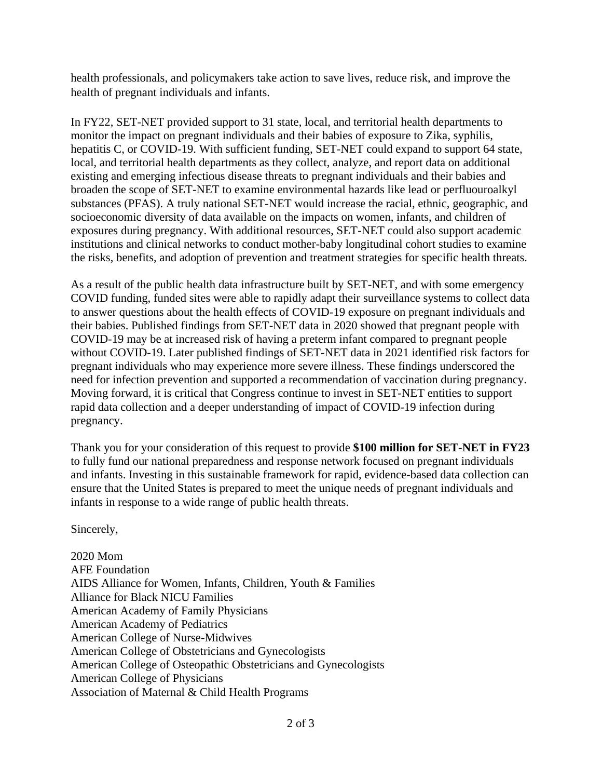health professionals, and policymakers take action to save lives, reduce risk, and improve the health of pregnant individuals and infants.

In FY22, SET-NET provided support to 31 state, local, and territorial health departments to monitor the impact on pregnant individuals and their babies of exposure to Zika, syphilis, hepatitis C, or COVID-19. With sufficient funding, SET-NET could expand to support 64 state, local, and territorial health departments as they collect, analyze, and report data on additional existing and emerging infectious disease threats to pregnant individuals and their babies and broaden the scope of SET-NET to examine environmental hazards like lead or perfluouroalkyl substances (PFAS). A truly national SET-NET would increase the racial, ethnic, geographic, and socioeconomic diversity of data available on the impacts on women, infants, and children of exposures during pregnancy. With additional resources, SET-NET could also support academic institutions and clinical networks to conduct mother-baby longitudinal cohort studies to examine the risks, benefits, and adoption of prevention and treatment strategies for specific health threats.

As a result of the public health data infrastructure built by SET-NET, and with some emergency COVID funding, funded sites were able to rapidly adapt their surveillance systems to collect data to answer questions about the health effects of COVID-19 exposure on pregnant individuals and their babies. Published findings from SET-NET data in 2020 showed that pregnant people with COVID-19 may be at increased risk of having a preterm infant compared to pregnant people without COVID-19. Later published findings of SET-NET data in 2021 identified risk factors for pregnant individuals who may experience more severe illness. These findings underscored the need for infection prevention and supported a recommendation of vaccination during pregnancy. Moving forward, it is critical that Congress continue to invest in SET-NET entities to support rapid data collection and a deeper understanding of impact of COVID-19 infection during pregnancy.

Thank you for your consideration of this request to provide **\$100 million for SET-NET in FY23** to fully fund our national preparedness and response network focused on pregnant individuals and infants. Investing in this sustainable framework for rapid, evidence-based data collection can ensure that the United States is prepared to meet the unique needs of pregnant individuals and infants in response to a wide range of public health threats.

Sincerely,

2020 Mom AFE Foundation AIDS Alliance for Women, Infants, Children, Youth & Families Alliance for Black NICU Families American Academy of Family Physicians American Academy of Pediatrics American College of Nurse-Midwives American College of Obstetricians and Gynecologists American College of Osteopathic Obstetricians and Gynecologists American College of Physicians Association of Maternal & Child Health Programs